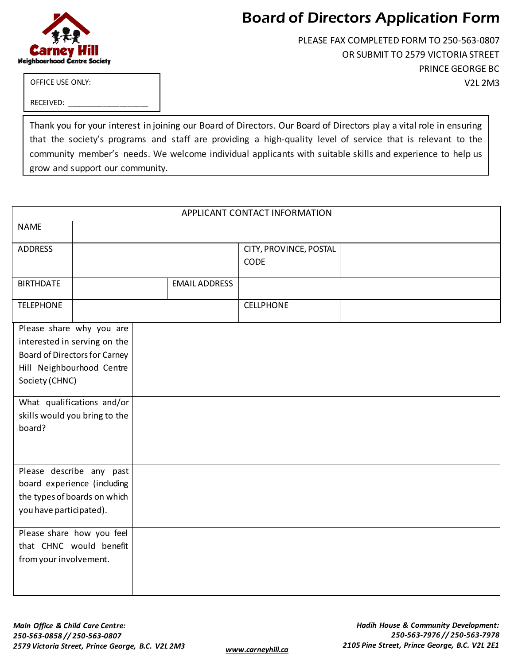



PLEASE FAX COMPLETED FORM TO 250-563-0807 OR SUBMIT TO 2579 VICTORIA STREET PRINCE GEORGE BC V2L 2M3

OFFICE USE ONLY:

RECEIVED:

Thank you for your interest in joining our Board of Directors. Our Board of Directors play a vital role in ensuring that the society's programs and staff are providing a high-quality level of service that is relevant to the community member's needs. We welcome individual applicants with suitable skills and experience to help us grow and support our community.

| APPLICANT CONTACT INFORMATION |                           |  |                      |                        |  |  |  |
|-------------------------------|---------------------------|--|----------------------|------------------------|--|--|--|
| <b>NAME</b>                   |                           |  |                      |                        |  |  |  |
| <b>ADDRESS</b>                |                           |  |                      | CITY, PROVINCE, POSTAL |  |  |  |
|                               |                           |  |                      | CODE                   |  |  |  |
| <b>BIRTHDATE</b>              |                           |  | <b>EMAIL ADDRESS</b> |                        |  |  |  |
| <b>TELEPHONE</b>              |                           |  |                      | <b>CELLPHONE</b>       |  |  |  |
|                               | Please share why you are  |  |                      |                        |  |  |  |
| interested in serving on the  |                           |  |                      |                        |  |  |  |
| Board of Directors for Carney |                           |  |                      |                        |  |  |  |
| Hill Neighbourhood Centre     |                           |  |                      |                        |  |  |  |
| Society (CHNC)                |                           |  |                      |                        |  |  |  |
| What qualifications and/or    |                           |  |                      |                        |  |  |  |
| skills would you bring to the |                           |  |                      |                        |  |  |  |
| board?                        |                           |  |                      |                        |  |  |  |
|                               |                           |  |                      |                        |  |  |  |
| Please describe any past      |                           |  |                      |                        |  |  |  |
| board experience (including   |                           |  |                      |                        |  |  |  |
| the types of boards on which  |                           |  |                      |                        |  |  |  |
| you have participated).       |                           |  |                      |                        |  |  |  |
|                               | Please share how you feel |  |                      |                        |  |  |  |
|                               | that CHNC would benefit   |  |                      |                        |  |  |  |
| from your involvement.        |                           |  |                      |                        |  |  |  |
|                               |                           |  |                      |                        |  |  |  |
|                               |                           |  |                      |                        |  |  |  |

*[www.carneyhill.ca](http://www.carneyhill.ca/)*